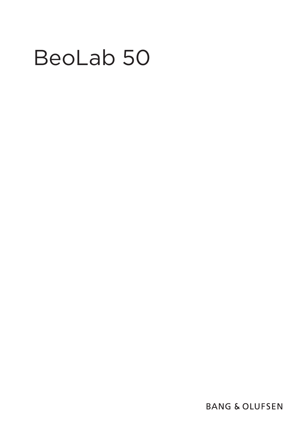# BeoLab 50

**BANG & OLUFSEN**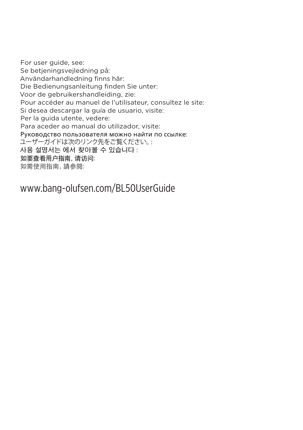For user guide, see: Se betjeningsvejledning på: Användarhandledning finns här: Die Bedienungsanleitung finden Sie unter: Voor de gebruikershandleiding, zie: Pour accéder au manuel de l'utilisateur, consultez le site: Si desea descargar la guía de usuario, visite: Per la guida utente, vedere: Para aceder ao manual do utilizador, visite: Руководство пользователя можно найти по ссылке: ユーザーガイドは次のリンク先をご覧ください。: **사용 설명서는 에서 찾아볼 수 있습니다** : 如要查看用户指南,请访问: 如需使用指南,請參閱:

www.bang-olufsen.com/BL50UserGuide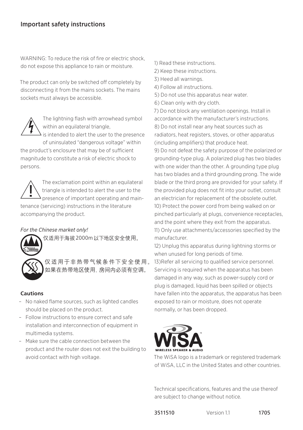# Important safety instructions

WARNING: To reduce the risk of fire or electric shock, do not expose this appliance to rain or moisture.

The product can only be switched off completely by disconnecting it from the mains sockets. The mains sockets must always be accessible.



The lightning flash with arrowhead symbol within an equilateral triangle. is intended to alert the user to the presence

of uninsulated "dangerous voltage" within

the product's enclosure that may be of sufficient magnitude to constitute a risk of electric shock to persons.

İ**2000m** The exclamation point within an equilateral triangle is intended to alert the user to the presence of important operating and main-<br>an electrician for tenance (servicing) instructions in the literature accompanying the product.

# *For the Chinese market only!*



仅适用于海拔 2000m以下地区安全使用。

仅适用于非热带气候条件下安全使用。 如果在热带地区使用, 房间内必须有空调。)Se

# **Cautions**

- No naked flame sources, such as lighted candles should be placed on the product.
- Follow instructions to ensure correct and safe installation and interconnection of equipment in  $\blacksquare$ ms. multimedia systems.
- Make sure the cable connection between the product and the router does not exit the building to avoid contact with high voltage.
- 1) Read these instructions.
- 2) Keep these instructions.
- 3) Heed all warnings.
- 4) Follow all instructions.
- 5) Do not use this apparatus near water.
- 6) Clean only with dry cloth.

7) Do not block any ventilation openings. Install in accordance with the manufacturer's instructions. 8) Do not install near any heat sources such as radiators, heat registers, stoves, or other apparatus (including amplifiers) that produce heat.

9) Do not defeat the safety purpose of the polarized or grounding-type plug. A polarized plug has two blades with one wider than the other. A grounding type plug has two blades and a third grounding prong. The wide blade or the third prong are provided for your safety. If the provided plug does not fit into your outlet, consult an electrician for replacement of the obsolete outlet. 10) Protect the power cord from being walked on or pinched particularly at plugs, convenience receptacles, and the point where they exit from the apparatus. 11) Only use attachments/accessories specified by the manufacturer.

when unused for long periods of time. 12) Unplug this apparatus during lightning storms or

damaged in any way, such as power-supply cord or 13)Refer all servicing to qualified service personnel. Servicing is required when the apparatus has been plug is damaged, liquid has been spilled or objects have fallen into the apparatus, the apparatus has been exposed to rain or moisture, does not operate normally, or has been dropped.



The WiSA logo is a trademark or registered trademark of WiSA, LLC in the United States and other countries.

Technical specifications, features and the use thereof are subject to change without notice.

**3511510** Version 1.1 **1705**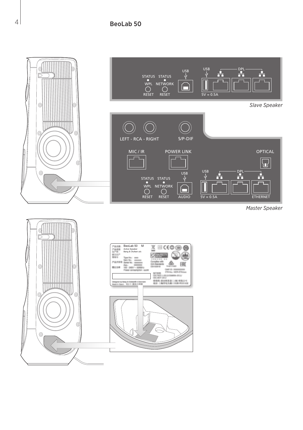

*Master Speaker* 

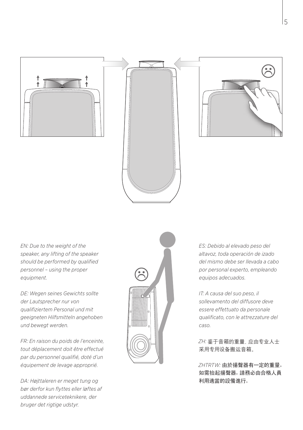





*EN: Due to the weight of the speaker, any lifting of the speaker should be performed by qualified personnel – using the proper equipment.*

*DE: Wegen seines Gewichts sollte der Lautsprecher nur von qualifiziertem Personal und mit geeigneten Hilfsmitteln angehoben und bewegt werden.*

*FR: En raison du poids de l'enceinte, tout déplacement doit être effectué par du personnel qualifié, doté d'un équipement de levage approprié.*

*DA: Højttaleren er meget tung og bør derfor kun flyttes eller løftes af uddannede serviceteknikere, der bruger det rigtige udstyr.*



*ES: Debido al elevado peso del altavoz, toda operación de izado del mismo debe ser llevada a cabo por personal experto, empleando equipos adecuados.*

*IT: A causa del suo peso, il sollevamento del diffusore deve essere effettuato da personale qualificato, con le attrezzature del caso.*

*ZH:* 鉴于音箱的重量,应由专业人士 采用专用设备搬运音箱。

*ZHTRTW:* 由於揚聲器有一定的重量, 如需抬起揚聲器,請務必由合格人員 利用適當的設備進行。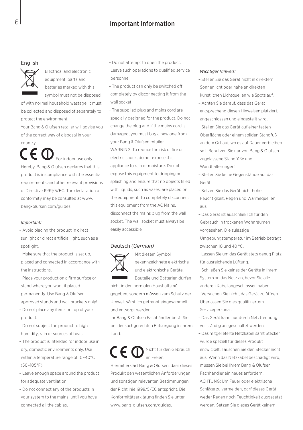## 6 Important information

## English



Electrical and electronic equipment, parts and batteries marked with this symbol must not be disposed

of with normal household wastage, it must be collected and disposed of separately to protect the environment.

Your Bang & Olufsen retailer will advise you of the correct way of disposal in your country.

For indoor use only. Hereby, Bang & Olufsen declares that this product is in compliance with the essential requirements and other relevant provisions of Directive 1999/5/EC. The declaration of conformity may be consulted at www. bang-olufsen.com/guides.

## *Important!*

- Avoid placing the product in direct sunlight or direct artificial light, such as a spotlight.
- Make sure that the product is set up, placed and connected in accordance with the instructions.
- Place your product on a firm surface or stand where you want it placed permanently. Use Bang & Olufsen approved stands and wall brackets only!
- Do not place any items on top of your product.
- Do not subject the product to high humidity, rain or sources of heat.
- The product is intended for indoor use in dry, domestic environments only. Use within a temperature range of 10–40°C (50–105°F).
- Leave enough space around the product for adequate ventilation.
- Do not connect any of the products in your system to the mains, until you have connected all the cables.

– Do not attempt to open the product.

- Leave such operations to qualified service personnel.
- The product can only be switched off completely by disconnecting it from the wall socket.
- The supplied plug and mains cord are specially designed for the product. Do not change the plug and if the mains cord is damaged, you must buy a new one from your Bang & Olufsen retailer. WARNING: To reduce the risk of fire or electric shock, do not expose this appliance to rain or moisture. Do not expose this equipment to dripping or splashing and ensure that no objects filled with liquids, such as vases, are placed on the equipment. To completely disconnect this equipment from the AC Mains, disconnect the mains plug from the wall socket. The wall socket must always be easily accessible

## Deutsch *(German)*



Mit diesem Symbol gekennzeichnete elektrische

und elektronische Geräte, Bauteile und Batterien dürfen

nicht in den normalen Haushaltsmüll

gegeben, sondern müssen zum Schutz der Umwelt sämtlich getrennt eingesammelt und entsorgt werden.

Ihr Bang & Olufsen Fachhändler berät Sie bei der sachgerechten Entsorgung in Ihrem Land.

# Nicht für den Gebrauch im Freien.

Hiermit erklärt Bang & Olufsen, dass dieses Produkt den wesentlichen Anforderungen und sonstigen relevanten Bestimmungen der Richtlinie 1999/5/EC entspricht. Die Konformitätserklärung finden Sie unter www.bang-olufsen.com/guides.

#### *Wichtiger Hinweis:*

- Stellen Sie das Gerät nicht in direktem Sonnenlicht oder nahe an direkten künstlichen Lichtquellen wie Spots auf.
- Achten Sie darauf, dass das Gerät entsprechend diesen Hinweisen platziert, angeschlossen und eingestellt wird.
- Stellen Sie das Gerät auf einer festen Oberfläche oder einem soliden Standfuß an dem Ort auf, wo es auf Dauer verbleiben soll. Benutzen Sie nur von Bang & Olufsen zugelassene Standfüße und Wandhalterungen!
- Stellen Sie keine Gegenstände auf das Gerät.
- Setzen Sie das Gerät nicht hoher Feuchtigkeit, Regen und Wärmequellen aus.
- Das Gerät ist ausschließlich für den Gebrauch in trockenen Wohnräumen vorgesehen. Die zulässige Umgebungstemperatur im Betrieb beträgt zwischen 10 und 40 °C.
- Lassen Sie um das Gerät stets genug Platz für ausreichende Lüftung.
- Schließen Sie keines der Geräte in Ihrem System an das Netz an, bevor Sie alle anderen Kabel angeschlossen haben.
- Versuchen Sie nicht, das Gerät zu öffnen. Überlassen Sie dies qualifiziertem Servicepersonal.
- Das Gerät kann nur durch Netztrennung vollständig ausgeschaltet werden.
- Das mitgelieferte Netzkabel samt Stecker wurde speziell für dieses Produkt entwickelt. Tauschen Sie den Stecker nicht aus. Wenn das Netzkabel beschädigt wird, müssen Sie bei Ihrem Bang & Olufsen Fachhändler ein neues anfordern. ACHTUNG: Um Feuer oder elektrische Schläge zu vermeiden, darf dieses Gerät weder Regen noch Feuchtigkeit ausgesetzt werden. Setzen Sie dieses Gerät keinem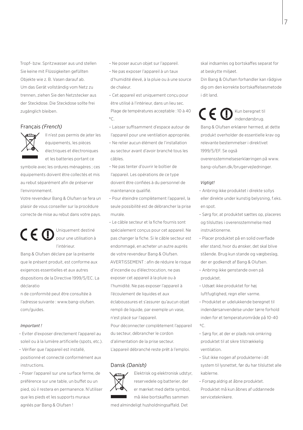Tropf- bzw. Spritzwasser aus und stellen Sie keine mit Flüssigkeiten gefüllten Objekte wie z. B. Vasen darauf ab. Um das Gerät vollständig vom Netz zu trennen, ziehen Sie den Netzstecker aus der Steckdose. Die Steckdose sollte frei zugänglich bleiben.

## Français *(French)*



Il n'est pas permis de jeter les équipements, les pièces électriques et électroniques et les batteries portant ce

symbole avec les ordures ménagères ; ces équipements doivent être collectés et mis au rebut séparément afin de préserver l'environnement.

Votre revendeur Bang & Olufsen se fera un plaisir de vous conseiller sur la procédure correcte de mise au rebut dans votre pays.

Uniquement destiné CE C pour une utilisation à l'intérieur.

Bang & Olufsen déclare par la présente que le présent produit, est conforme aux exigences essentielles et aux autres dispositions de la Directive 1999/5/EC. La déclaratio

n de conformité peut être consultée à l'adresse suivante : www.bang-olufsen. com/guides.

## *Important !*

- Eviter d'exposer directement l'appareil au soleil ou à la lumière artificielle (spots, etc.). – Vérifier que l'appareil est installé,
- positionné et connecté conformément aux instructions.
- Poser l'appareil sur une surface ferme, de préférence sur une table, un buffet ou un pied, où il restera en permanence. N'utiliser que les pieds et les supports muraux agréés par Bang & Olufsen !
- Ne poser aucun objet sur l'appareil.
- Ne pas exposer l'appareil à un taux
- d'humidité élevé, à la pluie ou à une source de chaleur.
- Cet appareil est uniquement conçu pour être utilisé à l'intérieur, dans un lieu sec. Plage de températures acceptable : 10 à 40  $^{\circ}C$
- Laisser suffisamment d'espace autour de l'appareil pour une ventilation appropriée.
- Ne relier aucun élément de l'installation au secteur avant d'avoir branché tous les câbles.
- Ne pas tenter d'ouvrir le boîtier de l'appareil. Les opérations de ce type doivent être confiées à du personnel de maintenance qualifié.
- Pour éteindre complètement l'appareil, la seule possibilité est de débrancher la prise murale.
- Le câble secteur et la fiche fournis sont spécialement conçus pour cet appareil. Ne pas changer la fiche. Si le câble secteur est endommagé, en acheter un autre auprès de votre revendeur Bang & Olufsen. AVERTISSEMENT : afin de réduire le risque d'incendie ou d'électrocution, ne pas exposer cet appareil à la pluie ou à l'humidité. Ne pas exposer l'appareil à l'écoulement de liquides et aux éclaboussures et s'assurer qu'aucun objet rempli de liquide, par exemple un vase, n'est placé sur l'appareil.

Pour déconnecter complètement l'appareil du secteur, débrancher le cordon d'alimentation de la prise secteur. L'appareil débranché reste prêt à l'emploi.

## Dansk *(Danish)*



Elektrisk og elektronisk udstyr, reservedele og batterier, der er mærket med dette symbol, må ikke bortskaffes sammen

med almindeligt husholdningsaffald. Det

skal indsamles og bortskaffes separat for at beskytte miljøet.

Din Bang & Olufsen forhandler kan rådgive dig om den korrekte bortskaffelsesmetode i dit land.

Kun beregnet til CE CD indendørsbrug. Bang & Olufsen erklærer hermed, at dette produkt overholder de essentielle krav og relevante bestemmelser i direktivet 1999/5/EF. Se også

overensstemmelseserklæringen på www. bang-olufsen.dk/brugervejledninger.

## *Vigtigt!*

- Anbring ikke produktet i direkte sollys eller direkte under kunstig belysning, f.eks. en spot.
- Sørg for, at produktet sættes op, placeres og tilsluttes i overensstemmelse med instruktionerne.
- Placer produktet på en solid overflade eller stand, hvor du ønsker, det skal blive stående. Brug kun stande og vægbeslag, der er godkendt af Bang & Olufsen.
- Anbring ikke genstande oven på produktet.
- Udsæt ikke produktet for høj luftfugtighed, regn eller varme.
- Produktet er udelukkende beregnet til indendørsanvendelse under tørre forhold inden for et temperaturområde på 10-40  $^{\circ}$ C.
- Sørg for, at der er plads nok omkring produktet til at sikre tilstrækkelig ventilation.
- Slut ikke nogen af produkterne i dit system til lysnettet, før du har tilsluttet alle kablerne.
- Forsøg aldrig at åbne produktet. Produktet må kun åbnes af uddannede serviceteknikere.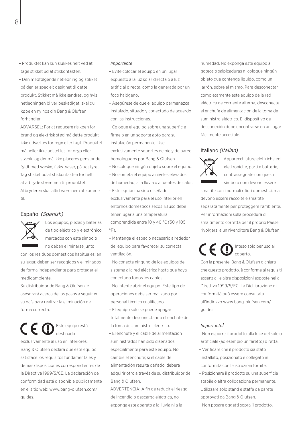– Produktet kan kun slukkes helt ved at tage stikket ud af stikkontakten.

– Den medfølgende netledning og stikket på den er specielt designet til dette produkt. Stikket må ikke ændres, og hvis netledningen bliver beskadiget, skal du købe en ny hos din Bang & Olufsen forhandler.

ADVARSEL: For at reducere risikoen for brand og elektrisk stød må dette produkt ikke udsættes for regn eller fugt. Produktet må heller ikke udsættes for dryp eller stænk, og der må ikke placeres genstande fyldt med væske, f.eks. vaser, på udstyret. Tag stikket ud af stikkontakten for helt at afbryde strømmen til produktet. Afbryderen skal altid være nem at komme til.

## Español *(Spanish)*



Los equipos, piezas y baterías de tipo eléctrico y electrónico marcados con este símbolo no deben eliminarse junto

con los residuos domésticos habituales; en su lugar, deben ser recogidos y eliminados de forma independiente para proteger el medioambiente.

Su distribuidor de Bang & Olufsen le asesorará acerca de los pasos a seguir en su país para realizar la eliminación de forma correcta.

## Este equipo está  $C \in \mathbb{C}$ destinado

exclusivamente al uso en interiores. Bang & Olufsen declara que este equipo satisface los requisitos fundamentales y demás disposiciones correspondientes de la Directiva 1999/5/CE. La declaración de conformidad está disponible públicamente en el sitio web: www.bang-olufsen.com/ guides.

#### *Importante*

- Evite colocar el equipo en un lugar expuesto a la luz solar directa o a luz artificial directa, como la generada por un foco halógeno.
- Asegúrese de que el equipo permanezca instalado, situado y conectado de acuerdo con las instrucciones.
- Coloque el equipo sobre una superficie firme o en un soporte apto para su instalación permanente. Use exclusivamente soportes de pie y de pared homologados por Bang & Olufsen.
- No coloque ningún objeto sobre el equipo.
- No someta el equipo a niveles elevados de humedad, a la lluvia o a fuentes de calor.
- Este equipo ha sido diseñado exclusivamente para el uso interior en entornos domésticos secos. El uso debe tener lugar a una temperatura comprendida entre 10 y 40 °C (50 y 105  $^{\circ}$ F)
- Mantenga el espacio necesario alrededor del equipo para favorecer su correcta ventilación.
- No conecte ninguno de los equipos del sistema a la red eléctrica hasta que haya conectado todos los cables.
- No intente abrir el equipo. Este tipo de operaciones debe ser realizado por personal técnico cualificado.
- El equipo sólo se puede apagar totalmente desconectando el enchufe de la toma de suministro eléctrico.
- El enchufe y el cable de alimentación suministrados han sido diseñados especialmente para este equipo. No cambie el enchufe; si el cable de alimentación resulta dañado, deberá adquirir otro a través de su distribuidor de Bang & Olufsen.

ADVERTENCIA: A fin de reducir el riesgo de incendio o descarga eléctrica, no exponga este aparato a la lluvia ni a la

humedad. No exponga este equipo a goteos o salpicaduras ni coloque ningún objeto que contenga líquido, como un jarrón, sobre el mismo. Para desconectar completamente este equipo de la red eléctrica de corriente alterna, desconecte el enchufe de alimentación de la toma de suministro eléctrico. El dispositivo de desconexión debe encontrarse en un lugar fácilmente accesible.

## Italiano *(Italian)*



Apparecchiature elettriche ed elettroniche, parti e batterie, contrassegnate con questo simbolo non devono essere

smaltite con i normali rifiuti domestici, ma devono essere raccolte e smaltite separatamente per proteggere l'ambiente. Per informazioni sulla procedura di smaltimento corretta per il proprio Paese, rivolgersi a un rivenditore Bang & Olufsen.

Inteso solo per uso al  $\mathsf{C}\in\mathsf{D}$ coperto. Con la presente, Bang & Olufsen dichiara che questo prodotto, è conforme ai requisiti essenziali e altre disposizioni esposte nella Direttiva 1999/5/EC. La Dichiarazione di conformità può essere consultata all'indirizzo www.bang-olufsen.com/ guides.

## *Importante!*

- Non esporre il prodotto alla luce del sole o artificiale (ad esempio un faretto) diretta.
- Verificare che il prodotto sia stato installato, posizionato e collegato in conformità con le istruzioni fornite.
- Posizionare il prodotto su una superficie stabile o altra collocazione permanente. Utilizzare solo stand e staffe da parete approvati da Bang & Olufsen.
- Non posare oggetti sopra il prodotto.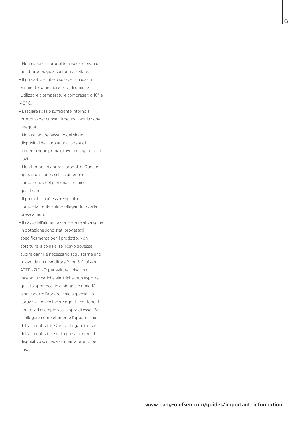– Non esporre il prodotto a valori elevati di umidità, a pioggia o a fonti di calore.

– Il prodotto è inteso solo per un uso in ambienti domestici e privi di umidità. Utilizzare a temperature comprese tra 10° e 40° C.

– Lasciare spazio sufficiente intorno al prodotto per consentirne una ventilazione adeguata.

– Non collegare nessuno dei singoli dispositivi dell'impianto alla rete di alimentazione prima di aver collegato tutti i cavi.

– Non tentare di aprire il prodotto. Queste operazioni sono esclusivamente di competenza del personale tecnico qualificato.

– Il prodotto può essere spento completamente solo scollegandolo dalla presa a muro.

– Il cavo dell'alimentazione e la relativa spina in dotazione sono stati progettati specificamente per il prodotto. Non sostituire la spina e, se il cavo dovesse subire danni, è necessario acquistarne uno nuovo da un rivenditore Bang & Olufsen. ATTENZIONE: per evitare il rischio di incendi o scariche elettriche, non esporre questo apparecchio a pioggia o umidità. Non esporre l'apparecchio a gocciolii o spruzzi e non collocare oggetti contenenti liquidi, ad esempio vasi, sopra di esso. Per scollegare completamente l'apparecchio dall'alimentazione CA, scollegare il cavo dell'alimentazione dalla presa a muro. Il dispositivo scollegato rimarrà pronto per l'uso.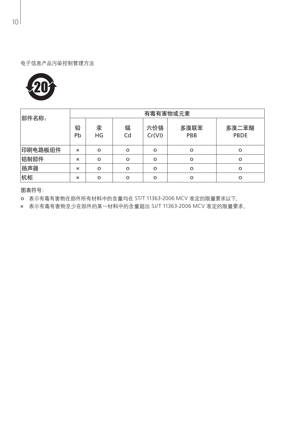



| 部件名称:   | 有毒有害物或元素 |         |          |               |             |               |
|---------|----------|---------|----------|---------------|-------------|---------------|
|         | 铅<br>Pb  | 汞<br>HG | 镉<br>Cd  | 六价铬<br>Cr(VI) | 多溴联苯<br>PBB | 多溴二苯醚<br>PBDE |
| 印刷电路板组件 | $\times$ | o       | $\Omega$ | $\Omega$      | $\circ$     | $\Omega$      |
| 铝制部件    | $\times$ | o       | $\circ$  | $\Omega$      | $\circ$     | $\Omega$      |
| 扬声器     | $\times$ | o       | $\circ$  | $\Omega$      | $\circ$     | $\Omega$      |
| 机柜      | $\times$ | o       | $\Omega$ | $\Omega$      | $\circ$     | $\Omega$      |

图表符号:

o 表示有毒有害物在部件所有材料中的含量均在 ST/T 11363-2006 MCV 准定的限量要求以下。

× 表示有毒有害物至少在部件的某一材料中的含量超出 SJ/T 11363-2006 MCV 准定的限量要求。